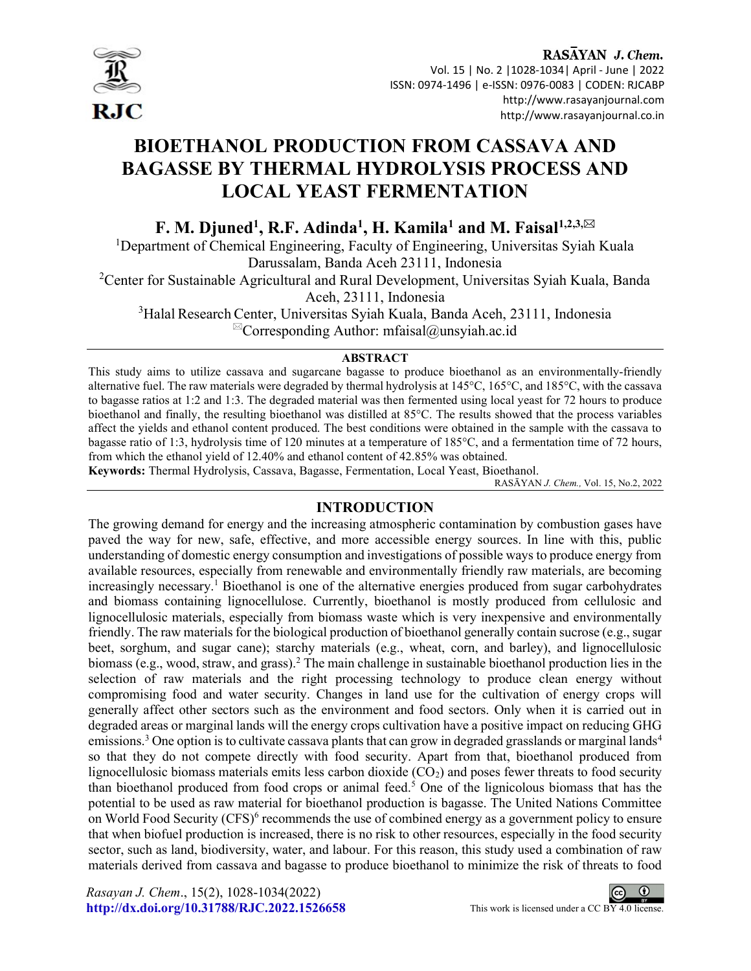

I

RASAYAN J. Chem. Vol. 15 | No. 2 |1028-1034| April - June | 2022 ISSN: 0974-1496 | e-ISSN: 0976-0083 | CODEN: RJCABP http://www.rasayanjournal.com http://www.rasayanjournal.co.in

# BIOETHANOL PRODUCTION FROM CASSAVA AND BAGASSE BY THERMAL HYDROLYSIS PROCESS AND LOCAL YEAST FERMENTATION

F. M. Djuned<sup>1</sup>, R.F. Adinda<sup>1</sup>, H. Kamila<sup>1</sup> and M. Faisal<sup>1,2,3,⊠</sup>

<sup>1</sup>Department of Chemical Engineering, Faculty of Engineering, Universitas Syiah Kuala Darussalam, Banda Aceh 23111, Indonesia

<sup>2</sup>Center for Sustainable Agricultural and Rural Development, Universitas Syiah Kuala, Banda Aceh, 23111, Indonesia

<sup>3</sup>Halal Research Center, Universitas Syiah Kuala, Banda Aceh, 23111, Indonesia  ${}^{\boxtimes}$ Corresponding Author: mfaisal@unsyiah.ac.id

#### ABSTRACT

This study aims to utilize cassava and sugarcane bagasse to produce bioethanol as an environmentally-friendly alternative fuel. The raw materials were degraded by thermal hydrolysis at 145°C, 165°C, and 185°C, with the cassava to bagasse ratios at 1:2 and 1:3. The degraded material was then fermented using local yeast for 72 hours to produce bioethanol and finally, the resulting bioethanol was distilled at 85°C. The results showed that the process variables affect the yields and ethanol content produced. The best conditions were obtained in the sample with the cassava to bagasse ratio of 1:3, hydrolysis time of 120 minutes at a temperature of 185°C, and a fermentation time of 72 hours, from which the ethanol yield of 12.40% and ethanol content of 42.85% was obtained.

Keywords: Thermal Hydrolysis, Cassava, Bagasse, Fermentation, Local Yeast, Bioethanol.

RASĀYAN J. Chem., Vol. 15, No.2, 2022

## INTRODUCTION

The growing demand for energy and the increasing atmospheric contamination by combustion gases have paved the way for new, safe, effective, and more accessible energy sources. In line with this, public understanding of domestic energy consumption and investigations of possible ways to produce energy from available resources, especially from renewable and environmentally friendly raw materials, are becoming increasingly necessary.<sup>1</sup> Bioethanol is one of the alternative energies produced from sugar carbohydrates and biomass containing lignocellulose. Currently, bioethanol is mostly produced from cellulosic and lignocellulosic materials, especially from biomass waste which is very inexpensive and environmentally friendly. The raw materials for the biological production of bioethanol generally contain sucrose (e.g., sugar beet, sorghum, and sugar cane); starchy materials (e.g., wheat, corn, and barley), and lignocellulosic biomass (e.g., wood, straw, and grass). The main challenge in sustainable bioethanol production lies in the selection of raw materials and the right processing technology to produce clean energy without compromising food and water security. Changes in land use for the cultivation of energy crops will generally affect other sectors such as the environment and food sectors. Only when it is carried out in degraded areas or marginal lands will the energy crops cultivation have a positive impact on reducing GHG emissions.<sup>3</sup> One option is to cultivate cassava plants that can grow in degraded grasslands or marginal lands<sup>4</sup> so that they do not compete directly with food security. Apart from that, bioethanol produced from lignocellulosic biomass materials emits less carbon dioxide  $(CO<sub>2</sub>)$  and poses fewer threats to food security than bioethanol produced from food crops or animal feed.<sup>5</sup> One of the lignicolous biomass that has the potential to be used as raw material for bioethanol production is bagasse. The United Nations Committee on World Food Security (CFS)<sup>6</sup> recommends the use of combined energy as a government policy to ensure that when biofuel production is increased, there is no risk to other resources, especially in the food security sector, such as land, biodiversity, water, and labour. For this reason, this study used a combination of raw materials derived from cassava and bagasse to produce bioethanol to minimize the risk of threats to food

Rasayan J. Chem., 15(2), 1028-1034(2022) http://dx.doi.org/10.31788/RJC.2022.1526658 This work is licensed under a CC BY 4.0 license.

 $\odot$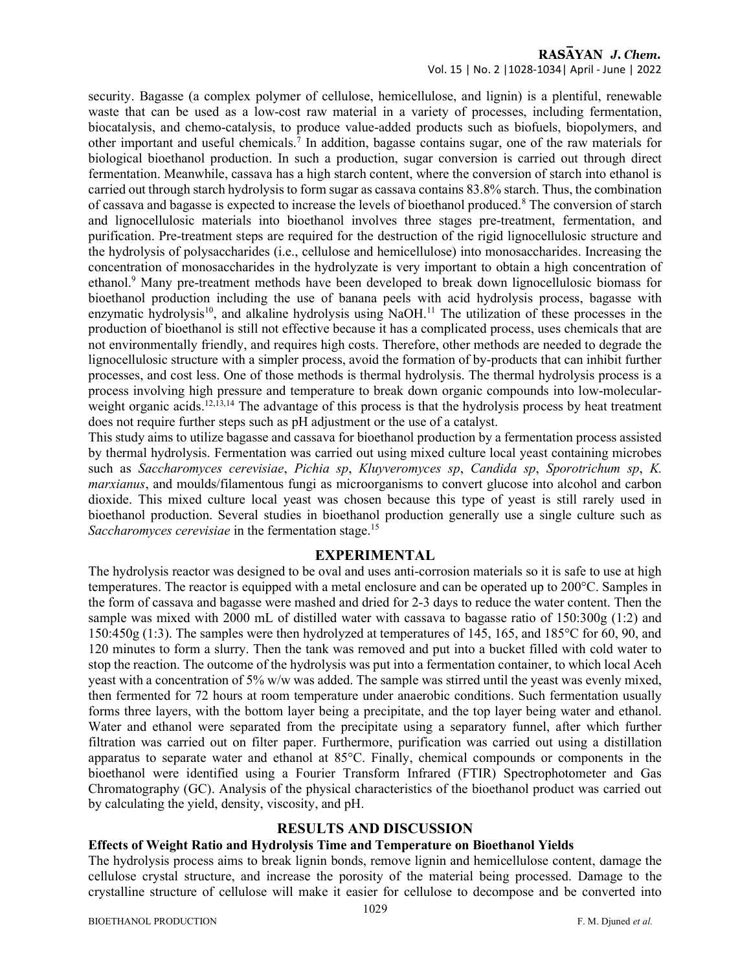### RASAYAN J. Chem. Vol. 15 | No. 2 |1028-1034| April - June | 2022

security. Bagasse (a complex polymer of cellulose, hemicellulose, and lignin) is a plentiful, renewable waste that can be used as a low-cost raw material in a variety of processes, including fermentation, biocatalysis, and chemo-catalysis, to produce value-added products such as biofuels, biopolymers, and other important and useful chemicals.<sup>7</sup> In addition, bagasse contains sugar, one of the raw materials for biological bioethanol production. In such a production, sugar conversion is carried out through direct fermentation. Meanwhile, cassava has a high starch content, where the conversion of starch into ethanol is carried out through starch hydrolysis to form sugar as cassava contains 83.8% starch. Thus, the combination of cassava and bagasse is expected to increase the levels of bioethanol produced.<sup>8</sup> The conversion of starch and lignocellulosic materials into bioethanol involves three stages pre-treatment, fermentation, and purification. Pre-treatment steps are required for the destruction of the rigid lignocellulosic structure and the hydrolysis of polysaccharides (i.e., cellulose and hemicellulose) into monosaccharides. Increasing the concentration of monosaccharides in the hydrolyzate is very important to obtain a high concentration of ethanol.<sup>9</sup> Many pre-treatment methods have been developed to break down lignocellulosic biomass for bioethanol production including the use of banana peels with acid hydrolysis process, bagasse with enzymatic hydrolysis<sup>10</sup>, and alkaline hydrolysis using NaOH.<sup>11</sup> The utilization of these processes in the production of bioethanol is still not effective because it has a complicated process, uses chemicals that are not environmentally friendly, and requires high costs. Therefore, other methods are needed to degrade the lignocellulosic structure with a simpler process, avoid the formation of by-products that can inhibit further processes, and cost less. One of those methods is thermal hydrolysis. The thermal hydrolysis process is a process involving high pressure and temperature to break down organic compounds into low-molecularweight organic acids.<sup>12,13,14</sup> The advantage of this process is that the hydrolysis process by heat treatment does not require further steps such as pH adjustment or the use of a catalyst.

This study aims to utilize bagasse and cassava for bioethanol production by a fermentation process assisted by thermal hydrolysis. Fermentation was carried out using mixed culture local yeast containing microbes such as Saccharomyces cerevisiae, Pichia sp, Kluyveromyces sp, Candida sp, Sporotrichum sp, K. marxianus, and moulds/filamentous fungi as microorganisms to convert glucose into alcohol and carbon dioxide. This mixed culture local yeast was chosen because this type of yeast is still rarely used in bioethanol production. Several studies in bioethanol production generally use a single culture such as Saccharomyces cerevisiae in the fermentation stage.<sup>15</sup>

#### EXPERIMENTAL

The hydrolysis reactor was designed to be oval and uses anti-corrosion materials so it is safe to use at high temperatures. The reactor is equipped with a metal enclosure and can be operated up to 200°C. Samples in the form of cassava and bagasse were mashed and dried for 2-3 days to reduce the water content. Then the sample was mixed with 2000 mL of distilled water with cassava to bagasse ratio of 150:300g (1:2) and 150:450g (1:3). The samples were then hydrolyzed at temperatures of 145, 165, and 185°C for 60, 90, and 120 minutes to form a slurry. Then the tank was removed and put into a bucket filled with cold water to stop the reaction. The outcome of the hydrolysis was put into a fermentation container, to which local Aceh yeast with a concentration of 5% w/w was added. The sample was stirred until the yeast was evenly mixed, then fermented for 72 hours at room temperature under anaerobic conditions. Such fermentation usually forms three layers, with the bottom layer being a precipitate, and the top layer being water and ethanol. Water and ethanol were separated from the precipitate using a separatory funnel, after which further filtration was carried out on filter paper. Furthermore, purification was carried out using a distillation apparatus to separate water and ethanol at 85°C. Finally, chemical compounds or components in the bioethanol were identified using a Fourier Transform Infrared (FTIR) Spectrophotometer and Gas Chromatography (GC). Analysis of the physical characteristics of the bioethanol product was carried out by calculating the yield, density, viscosity, and pH.

## RESULTS AND DISCUSSION

## Effects of Weight Ratio and Hydrolysis Time and Temperature on Bioethanol Yields

The hydrolysis process aims to break lignin bonds, remove lignin and hemicellulose content, damage the cellulose crystal structure, and increase the porosity of the material being processed. Damage to the crystalline structure of cellulose will make it easier for cellulose to decompose and be converted into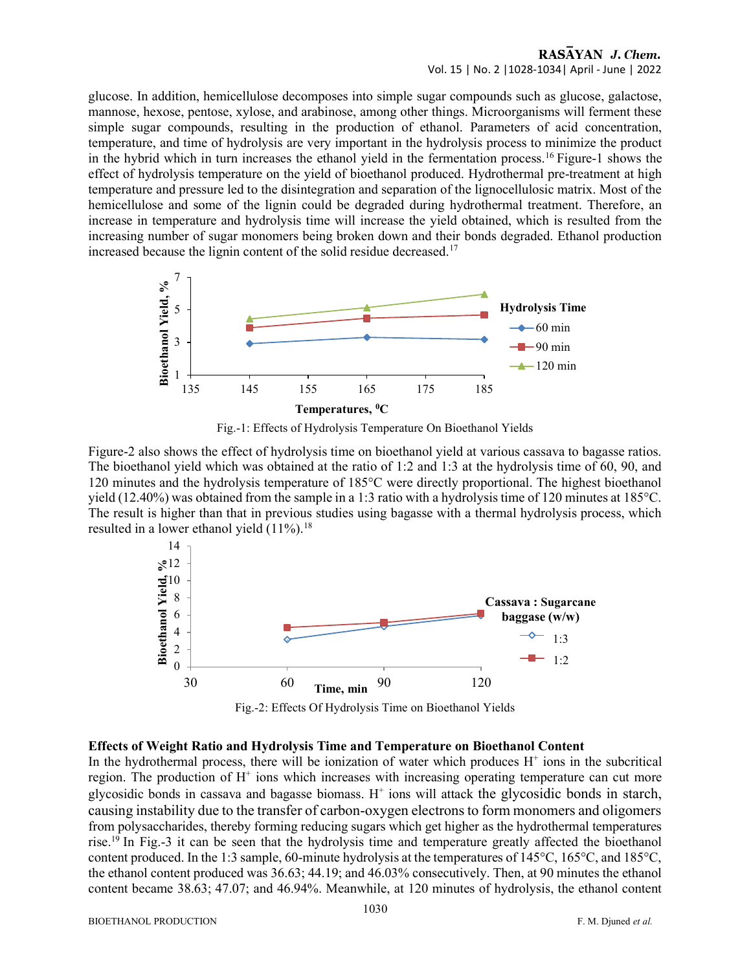## RASAYAN J. Chem. Vol. 15 | No. 2 |1028-1034| April - June | 2022

glucose. In addition, hemicellulose decomposes into simple sugar compounds such as glucose, galactose, mannose, hexose, pentose, xylose, and arabinose, among other things. Microorganisms will ferment these simple sugar compounds, resulting in the production of ethanol. Parameters of acid concentration, temperature, and time of hydrolysis are very important in the hydrolysis process to minimize the product in the hybrid which in turn increases the ethanol yield in the fermentation process.<sup>16</sup> Figure-1 shows the effect of hydrolysis temperature on the yield of bioethanol produced. Hydrothermal pre-treatment at high temperature and pressure led to the disintegration and separation of the lignocellulosic matrix. Most of the hemicellulose and some of the lignin could be degraded during hydrothermal treatment. Therefore, an increase in temperature and hydrolysis time will increase the yield obtained, which is resulted from the increasing number of sugar monomers being broken down and their bonds degraded. Ethanol production increased because the lignin content of the solid residue decreased.<sup>17</sup> 135 145 155 165 175 185 Bioethanol Yield, %





Figure-2 also shows the effect of hydrolysis time on bioethanol yield at various cassava to bagasse ratios. The bioethanol yield which was obtained at the ratio of 1:2 and 1:3 at the hydrolysis time of 60, 90, and 120 minutes and the hydrolysis temperature of 185°C were directly proportional. The highest bioethanol yield (12.40%) was obtained from the sample in a 1:3 ratio with a hydrolysis time of 120 minutes at 185°C. The result is higher than that in previous studies using bagasse with a thermal hydrolysis process, which resulted in a lower ethanol yield  $(11\%)$ .<sup>18</sup>



Fig.-2: Effects Of Hydrolysis Time on Bioethanol Yields

#### Effects of Weight Ratio and Hydrolysis Time and Temperature on Bioethanol Content

In the hydrothermal process, there will be ionization of water which produces  $H^+$  ions in the subcritical region. The production of H<sup>+</sup> ions which increases with increasing operating temperature can cut more glycosidic bonds in cassava and bagasse biomass.  $H^+$  ions will attack the glycosidic bonds in starch, causing instability due to the transfer of carbon-oxygen electrons to form monomers and oligomers from polysaccharides, thereby forming reducing sugars which get higher as the hydrothermal temperatures rise.<sup>19</sup> In Fig.-3 it can be seen that the hydrolysis time and temperature greatly affected the bioethanol content produced. In the 1:3 sample, 60-minute hydrolysis at the temperatures of 145°C, 165°C, and 185°C, the ethanol content produced was 36.63; 44.19; and 46.03% consecutively. Then, at 90 minutes the ethanol content became 38.63; 47.07; and 46.94%. Meanwhile, at 120 minutes of hydrolysis, the ethanol content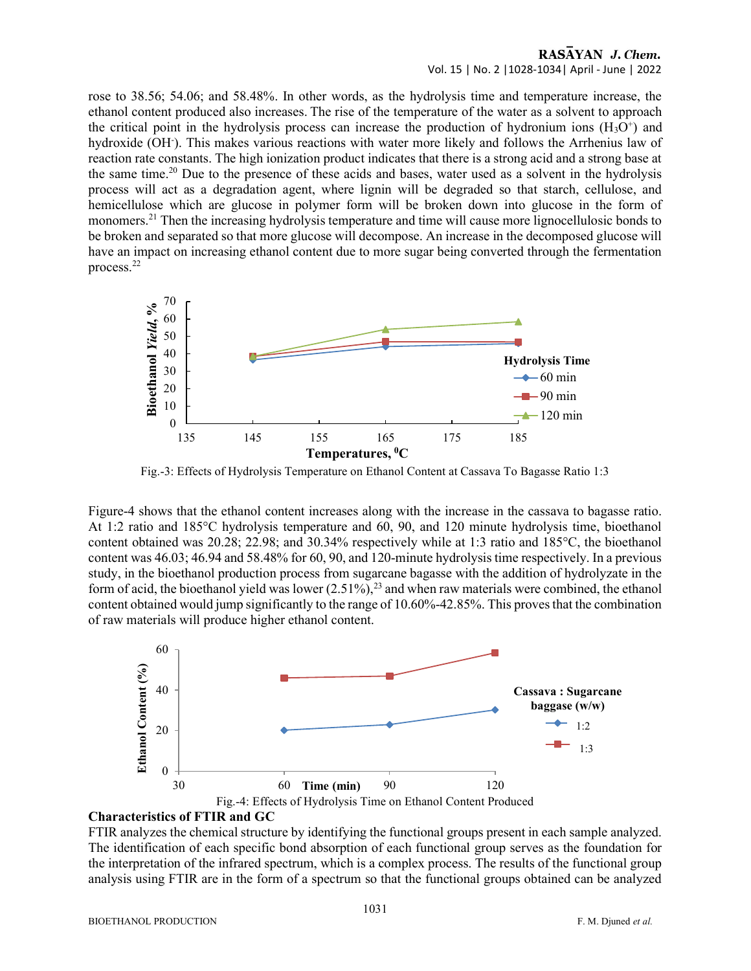## RASAYAN J. Chem. Vol. 15 | No. 2 |1028-1034| April - June | 2022

rose to 38.56; 54.06; and 58.48%. In other words, as the hydrolysis time and temperature increase, the ethanol content produced also increases. The rise of the temperature of the water as a solvent to approach the critical point in the hydrolysis process can increase the production of hydronium ions  $(H<sub>3</sub>O<sup>+</sup>)$  and hydroxide (OH). This makes various reactions with water more likely and follows the Arrhenius law of reaction rate constants. The high ionization product indicates that there is a strong acid and a strong base at the same time.<sup>20</sup> Due to the presence of these acids and bases, water used as a solvent in the hydrolysis process will act as a degradation agent, where lignin will be degraded so that starch, cellulose, and hemicellulose which are glucose in polymer form will be broken down into glucose in the form of monomers.<sup>21</sup> Then the increasing hydrolysis temperature and time will cause more lignocellulosic bonds to be broken and separated so that more glucose will decompose. An increase in the decomposed glucose will have an impact on increasing ethanol content due to more sugar being converted through the fermentation process.<sup>22</sup> point in the hydrolysis process can increase the production of hydronium ions  $(H<sub>2</sub>O')$  and<br>
COH). This makes various reactions with water more likely and follows the Arthenius law of<br>
cenostants. The high ionization pr



Fig.-3: Effects of Hydrolysis Temperature on Ethanol Content at Cassava To Bagasse Ratio 1:3

Figure-4 shows that the ethanol content increases along with the increase in the cassava to bagasse ratio. At 1:2 ratio and 185°C hydrolysis temperature and 60, 90, and 120 minute hydrolysis time, bioethanol content obtained was 20.28; 22.98; and 30.34% respectively while at 1:3 ratio and 185°C, the bioethanol content was 46.03; 46.94 and 58.48% for 60, 90, and 120-minute hydrolysis time respectively. In a previous study, in the bioethanol production process from sugarcane bagasse with the addition of hydrolyzate in the form of acid, the bioethanol yield was lower  $(2.51\%)$ ,<sup>23</sup> and when raw materials were combined, the ethanol content obtained would jump significantly to the range of 10.60%-42.85%. This proves that the combination of raw materials will produce higher ethanol content.



#### Characteristics of FTIR and GC

FTIR analyzes the chemical structure by identifying the functional groups present in each sample analyzed. The identification of each specific bond absorption of each functional group serves as the foundation for the interpretation of the infrared spectrum, which is a complex process. The results of the functional group analysis using FTIR are in the form of a spectrum so that the functional groups obtained can be analyzed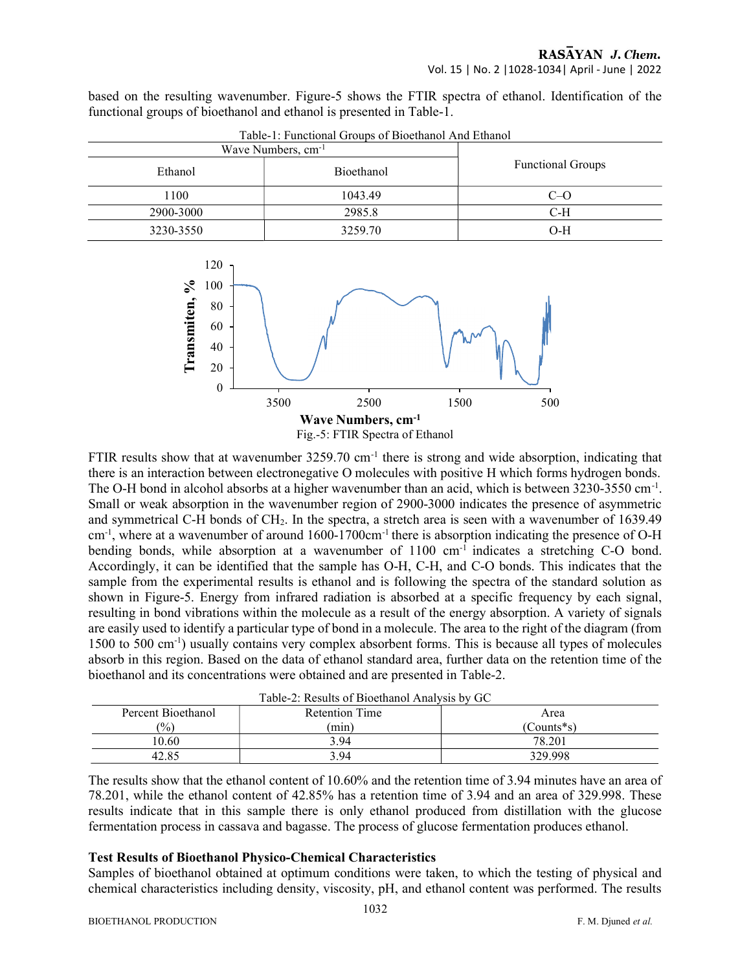based on the resulting wavenumber. Figure-5 shows the FTIR spectra of ethanol. Identification of the functional groups of bioethanol and ethanol is presented in Table-1.

| Wave Numbers, cm <sup>-1</sup> |            |                          |  |
|--------------------------------|------------|--------------------------|--|
| Ethanol                        | Bioethanol | <b>Functional Groups</b> |  |
| 1100                           | 1043.49    | $C=O$                    |  |
| 2900-3000                      | 2985.8     | C-H                      |  |
| 3230-3550                      | 3259.70    | $O-H$                    |  |





FTIR results show that at wavenumber 3259.70 cm<sup>-1</sup> there is strong and wide absorption, indicating that there is an interaction between electronegative O molecules with positive H which forms hydrogen bonds. The O-H bond in alcohol absorbs at a higher wavenumber than an acid, which is between 3230-3550 cm<sup>-1</sup>. Small or weak absorption in the wavenumber region of 2900-3000 indicates the presence of asymmetric and symmetrical C-H bonds of CH2. In the spectra, a stretch area is seen with a wavenumber of 1639.49 cm-1, where at a wavenumber of around 1600-1700cm-1 there is absorption indicating the presence of O-H bending bonds, while absorption at a wavenumber of 1100 cm<sup>-1</sup> indicates a stretching C-O bond. Accordingly, it can be identified that the sample has O-H, C-H, and C-O bonds. This indicates that the sample from the experimental results is ethanol and is following the spectra of the standard solution as shown in Figure-5. Energy from infrared radiation is absorbed at a specific frequency by each signal, resulting in bond vibrations within the molecule as a result of the energy absorption. A variety of signals are easily used to identify a particular type of bond in a molecule. The area to the right of the diagram (from 1500 to 500 cm-1) usually contains very complex absorbent forms. This is because all types of molecules absorb in this region. Based on the data of ethanol standard area, further data on the retention time of the bioethanol and its concentrations were obtained and are presented in Table-2.

| Table-2: Results of Bioethanol Analysis by GC |                       |                  |  |  |  |
|-----------------------------------------------|-----------------------|------------------|--|--|--|
| Percent Bioethanol                            | <b>Retention Time</b> | Area             |  |  |  |
| $\frac{1}{2}$                                 | (min)                 | $($ Counts*s $)$ |  |  |  |
| 10.60                                         | 3.94                  | 78.201           |  |  |  |
| 42.85                                         | 3.94                  | 329.998          |  |  |  |

| Table-2: Results of Bioethanol Analysis by GC |  |
|-----------------------------------------------|--|
|-----------------------------------------------|--|

The results show that the ethanol content of 10.60% and the retention time of 3.94 minutes have an area of 78.201, while the ethanol content of 42.85% has a retention time of 3.94 and an area of 329.998. These results indicate that in this sample there is only ethanol produced from distillation with the glucose fermentation process in cassava and bagasse. The process of glucose fermentation produces ethanol.

#### Test Results of Bioethanol Physico-Chemical Characteristics

Samples of bioethanol obtained at optimum conditions were taken, to which the testing of physical and chemical characteristics including density, viscosity, pH, and ethanol content was performed. The results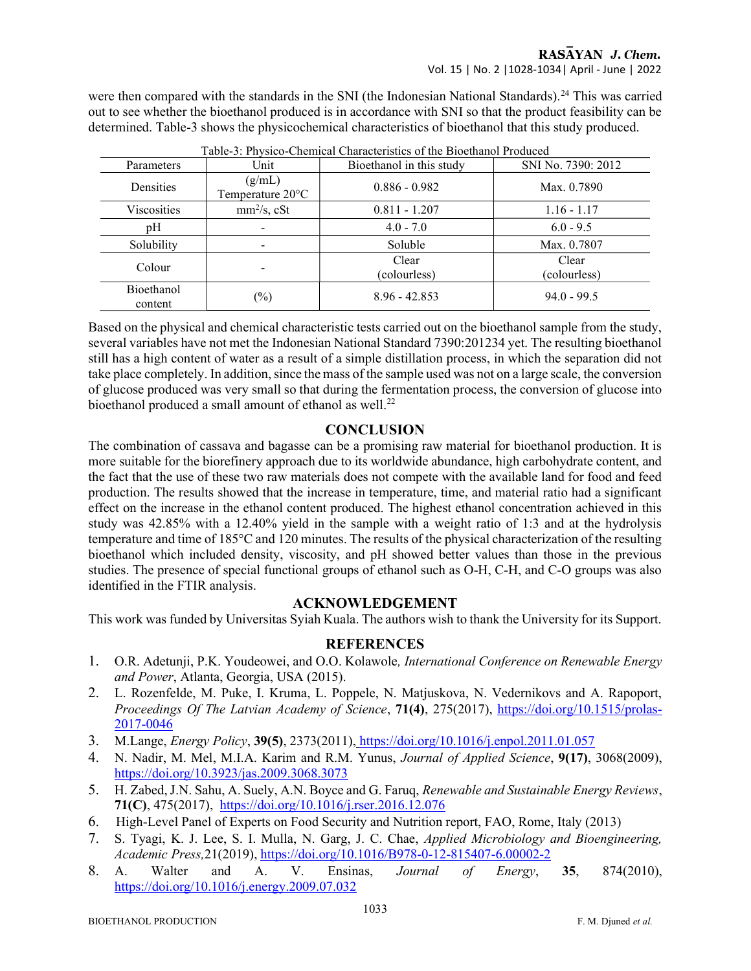were then compared with the standards in the SNI (the Indonesian National Standards).<sup>24</sup> This was carried out to see whether the bioethanol produced is in accordance with SNI so that the product feasibility can be determined. Table-3 shows the physicochemical characteristics of bioethanol that this study produced.

| Table-9. I hysico-chemical characteristics of the Blochlandi I founced |                                      |                          |                       |  |  |
|------------------------------------------------------------------------|--------------------------------------|--------------------------|-----------------------|--|--|
| Parameters                                                             | Unit                                 | Bioethanol in this study | SNI No. 7390: 2012    |  |  |
| Densities                                                              | (g/mL)<br>Temperature $20^{\circ}$ C | $0.886 - 0.982$          | Max. 0.7890           |  |  |
| <b>Viscosities</b>                                                     | $mm2/s$ , cSt                        | $0.811 - 1.207$          | $1.16 - 1.17$         |  |  |
| pH                                                                     | $\overline{\phantom{a}}$             | $4.0 - 7.0$              | $6.0 - 9.5$           |  |  |
| Solubility                                                             |                                      | Soluble                  | Max. 0.7807           |  |  |
| Colour                                                                 | -                                    | Clear<br>(colourless)    | Clear<br>(colourless) |  |  |
| <b>Bioethanol</b><br>content                                           | $(\%)$                               | $8.96 - 42.853$          | $94.0 - 99.5$         |  |  |

|  | Table-3: Physico-Chemical Characteristics of the Bioethanol Produced |  |
|--|----------------------------------------------------------------------|--|
|  |                                                                      |  |

Based on the physical and chemical characteristic tests carried out on the bioethanol sample from the study, several variables have not met the Indonesian National Standard 7390:201234 yet. The resulting bioethanol still has a high content of water as a result of a simple distillation process, in which the separation did not take place completely. In addition, since the mass of the sample used was not on a large scale, the conversion of glucose produced was very small so that during the fermentation process, the conversion of glucose into bioethanol produced a small amount of ethanol as well.<sup>22</sup>

# **CONCLUSION**

The combination of cassava and bagasse can be a promising raw material for bioethanol production. It is more suitable for the biorefinery approach due to its worldwide abundance, high carbohydrate content, and the fact that the use of these two raw materials does not compete with the available land for food and feed production. The results showed that the increase in temperature, time, and material ratio had a significant effect on the increase in the ethanol content produced. The highest ethanol concentration achieved in this study was 42.85% with a 12.40% yield in the sample with a weight ratio of 1:3 and at the hydrolysis temperature and time of 185°C and 120 minutes. The results of the physical characterization of the resulting bioethanol which included density, viscosity, and pH showed better values than those in the previous studies. The presence of special functional groups of ethanol such as O-H, C-H, and C-O groups was also identified in the FTIR analysis.

## ACKNOWLEDGEMENT

This work was funded by Universitas Syiah Kuala. The authors wish to thank the University for its Support.

# **REFERENCES**

- 1. O.R. Adetunji, P.K. Youdeowei, and O.O. Kolawole, International Conference on Renewable Energy and Power, Atlanta, Georgia, USA (2015).
- 2. L. Rozenfelde, M. Puke, I. Kruma, L. Poppele, N. Matjuskova, N. Vedernikovs and A. Rapoport, Proceedings Of The Latvian Academy of Science, 71(4), 275(2017), https://doi.org/10.1515/prolas-2017-0046
- 3. M.Lange, Energy Policy, 39(5), 2373(2011), https://doi.org/10.1016/j.enpol.2011.01.057
- 4. N. Nadir, M. Mel, M.I.A. Karim and R.M. Yunus, Journal of Applied Science, 9(17), 3068(2009), https://doi.org/10.3923/jas.2009.3068.3073
- 5. H. Zabed, J.N. Sahu, A. Suely, A.N. Boyce and G. Faruq, Renewable and Sustainable Energy Reviews, 71(C), 475(2017), https://doi.org/10.1016/j.rser.2016.12.076
- 6. High-Level Panel of Experts on Food Security and Nutrition report, FAO, Rome, Italy (2013)
- 7. S. Tyagi, K. J. Lee, S. I. Mulla, N. Garg, J. C. Chae, Applied Microbiology and Bioengineering, Academic Press,21(2019), https://doi.org/10.1016/B978-0-12-815407-6.00002-2
- 8. A. Walter and A. V. Ensinas, Journal of Energy, 35, 874(2010), https://doi.org/10.1016/j.energy.2009.07.032